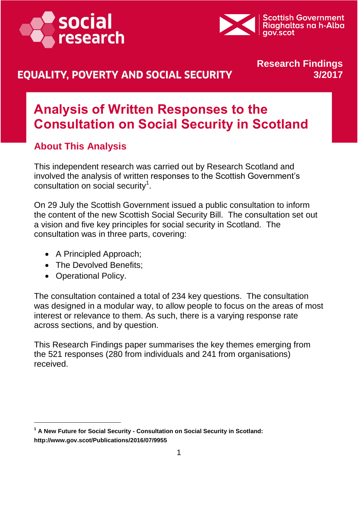



## **EQUALITY, POVERTY AND SOCIAL SECURITY**

### **Research Findings 3/2017**

# **Analysis of Written Responses to the Consultation on Social Security in Scotland**

### **About This Analysis**

This independent research was carried out by Research Scotland and involved the analysis of written responses to the Scottish Government's consultation on social security<sup>1</sup>.

On 29 July the Scottish Government issued a public consultation to inform the content of the new Scottish Social Security Bill. The consultation set out a vision and five key principles for social security in Scotland. The consultation was in three parts, covering:

- A Principled Approach;
- The Devolved Benefits;
- Operational Policy.

The consultation contained a total of 234 key questions. The consultation was designed in a modular way, to allow people to focus on the areas of most interest or relevance to them. As such, there is a varying response rate across sections, and by question.

This Research Findings paper summarises the key themes emerging from the 521 responses (280 from individuals and 241 from organisations) received.

<sup>&</sup>lt;sup>1</sup> A New Future for Social Security - Consultation on Social Security in Scotland: **http://www.gov.scot/Publications/2016/07/9955**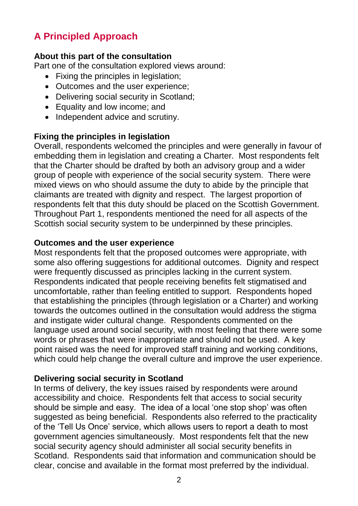## **A Principled Approach**

#### **About this part of the consultation**

Part one of the consultation explored views around:

- Fixing the principles in legislation;
- Outcomes and the user experience;
- Delivering social security in Scotland;
- Equality and low income; and
- Independent advice and scrutiny.

### **Fixing the principles in legislation**

Overall, respondents welcomed the principles and were generally in favour of embedding them in legislation and creating a Charter. Most respondents felt that the Charter should be drafted by both an advisory group and a wider group of people with experience of the social security system. There were mixed views on who should assume the duty to abide by the principle that claimants are treated with dignity and respect. The largest proportion of respondents felt that this duty should be placed on the Scottish Government. Throughout Part 1, respondents mentioned the need for all aspects of the Scottish social security system to be underpinned by these principles.

#### **Outcomes and the user experience**

Most respondents felt that the proposed outcomes were appropriate, with some also offering suggestions for additional outcomes. Dignity and respect were frequently discussed as principles lacking in the current system. Respondents indicated that people receiving benefits felt stigmatised and uncomfortable, rather than feeling entitled to support. Respondents hoped that establishing the principles (through legislation or a Charter) and working towards the outcomes outlined in the consultation would address the stigma and instigate wider cultural change. Respondents commented on the language used around social security, with most feeling that there were some words or phrases that were inappropriate and should not be used. A key point raised was the need for improved staff training and working conditions, which could help change the overall culture and improve the user experience.

#### **Delivering social security in Scotland**

In terms of delivery, the key issues raised by respondents were around accessibility and choice. Respondents felt that access to social security should be simple and easy. The idea of a local 'one stop shop' was often suggested as being beneficial. Respondents also referred to the practicality of the 'Tell Us Once' service, which allows users to report a death to most government agencies simultaneously. Most respondents felt that the new social security agency should administer all social security benefits in Scotland. Respondents said that information and communication should be clear, concise and available in the format most preferred by the individual.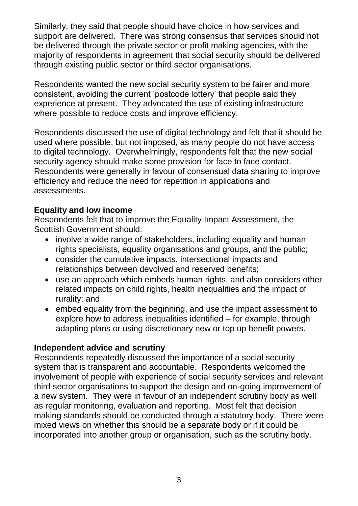Similarly, they said that people should have choice in how services and support are delivered. There was strong consensus that services should not be delivered through the private sector or profit making agencies, with the majority of respondents in agreement that social security should be delivered through existing public sector or third sector organisations.

Respondents wanted the new social security system to be fairer and more consistent, avoiding the current 'postcode lottery' that people said they experience at present. They advocated the use of existing infrastructure where possible to reduce costs and improve efficiency.

Respondents discussed the use of digital technology and felt that it should be used where possible, but not imposed, as many people do not have access to digital technology. Overwhelmingly, respondents felt that the new social security agency should make some provision for face to face contact. Respondents were generally in favour of consensual data sharing to improve efficiency and reduce the need for repetition in applications and assessments.

#### **Equality and low income**

Respondents felt that to improve the Equality Impact Assessment, the Scottish Government should:

- involve a wide range of stakeholders, including equality and human rights specialists, equality organisations and groups, and the public;
- consider the cumulative impacts, intersectional impacts and relationships between devolved and reserved benefits;
- use an approach which embeds human rights, and also considers other related impacts on child rights, health inequalities and the impact of rurality; and
- embed equality from the beginning, and use the impact assessment to explore how to address inequalities identified – for example, through adapting plans or using discretionary new or top up benefit powers.

#### **Independent advice and scrutiny**

Respondents repeatedly discussed the importance of a social security system that is transparent and accountable. Respondents welcomed the involvement of people with experience of social security services and relevant third sector organisations to support the design and on-going improvement of a new system. They were in favour of an independent scrutiny body as well as regular monitoring, evaluation and reporting. Most felt that decision making standards should be conducted through a statutory body. There were mixed views on whether this should be a separate body or if it could be incorporated into another group or organisation, such as the scrutiny body.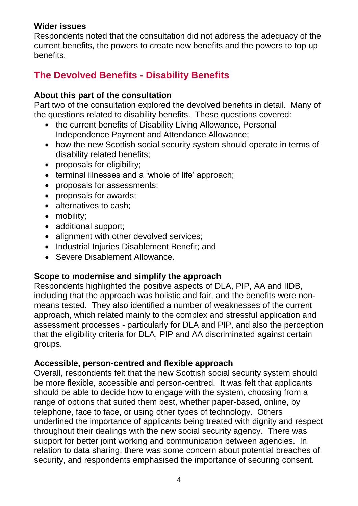#### **Wider issues**

Respondents noted that the consultation did not address the adequacy of the current benefits, the powers to create new benefits and the powers to top up benefits.

## **The Devolved Benefits - Disability Benefits**

#### **About this part of the consultation**

Part two of [the consultation](http://www.gov.scot/Publications/2016/07/9955/5) explored the devolved benefits in detail. Many of the questions related to disability benefits. These questions covered:

- the current benefits of Disability Living Allowance, Personal Independence Payment and Attendance Allowance;
- how the new Scottish social security system should operate in terms of disability related benefits;
- proposals for eligibility;
- terminal illnesses and a 'whole of life' approach;
- proposals for assessments;
- proposals for awards;
- alternatives to cash;
- mobility;
- additional support;
- alignment with other devolved services;
- Industrial Injuries Disablement Benefit; and
- Severe Disablement Allowance.

#### **Scope to modernise and simplify the approach**

Respondents highlighted the positive aspects of DLA, PIP, AA and IIDB, including that the approach was holistic and fair, and the benefits were nonmeans tested. They also identified a number of weaknesses of the current approach, which related mainly to the complex and stressful application and assessment processes - particularly for DLA and PIP, and also the perception that the eligibility criteria for DLA, PIP and AA discriminated against certain groups.

#### **Accessible, person-centred and flexible approach**

Overall, respondents felt that the new Scottish social security system should be more flexible, accessible and person-centred. It was felt that applicants should be able to decide how to engage with the system, choosing from a range of options that suited them best, whether paper-based, online, by telephone, face to face, or using other types of technology. Others underlined the importance of applicants being treated with dignity and respect throughout their dealings with the new social security agency. There was support for better joint working and communication between agencies. In relation to data sharing, there was some concern about potential breaches of security, and respondents emphasised the importance of securing consent.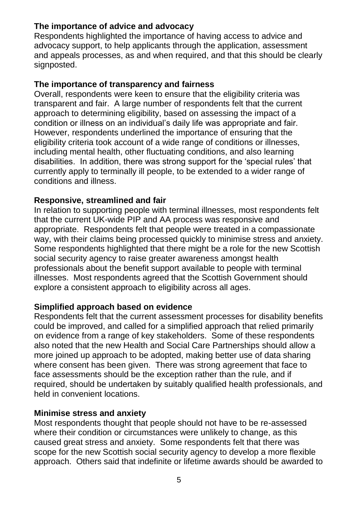### **The importance of advice and advocacy**

Respondents highlighted the importance of having access to advice and advocacy support, to help applicants through the application, assessment and appeals processes, as and when required, and that this should be clearly signposted.

#### **The importance of transparency and fairness**

Overall, respondents were keen to ensure that the eligibility criteria was transparent and fair. A large number of respondents felt that the current approach to determining eligibility, based on assessing the impact of a condition or illness on an individual's daily life was appropriate and fair. However, respondents underlined the importance of ensuring that the eligibility criteria took account of a wide range of conditions or illnesses, including mental health, other fluctuating conditions, and also learning disabilities. In addition, there was strong support for the 'special rules' that currently apply to terminally ill people, to be extended to a wider range of conditions and illness.

#### **Responsive, streamlined and fair**

In relation to supporting people with terminal illnesses, most respondents felt that the current UK-wide PIP and AA process was responsive and appropriate. Respondents felt that people were treated in a compassionate way, with their claims being processed quickly to minimise stress and anxiety. Some respondents highlighted that there might be a role for the new Scottish social security agency to raise greater awareness amongst health professionals about the benefit support available to people with terminal illnesses. Most respondents agreed that the Scottish Government should explore a consistent approach to eligibility across all ages.

#### **Simplified approach based on evidence**

Respondents felt that the current assessment processes for disability benefits could be improved, and called for a simplified approach that relied primarily on evidence from a range of key stakeholders. Some of these respondents also noted that the new Health and Social Care Partnerships should allow a more joined up approach to be adopted, making better use of data sharing where consent has been given. There was strong agreement that face to face assessments should be the exception rather than the rule, and if required, should be undertaken by suitably qualified health professionals, and held in convenient locations.

#### **Minimise stress and anxiety**

Most respondents thought that people should not have to be re-assessed where their condition or circumstances were unlikely to change, as this caused great stress and anxiety. Some respondents felt that there was scope for the new Scottish social security agency to develop a more flexible approach. Others said that indefinite or lifetime awards should be awarded to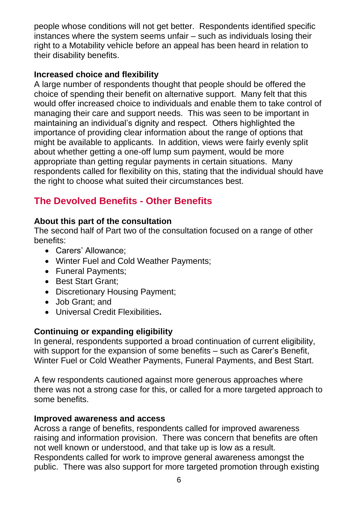people whose conditions will not get better. Respondents identified specific instances where the system seems unfair – such as individuals losing their right to a Motability vehicle before an appeal has been heard in relation to their disability benefits.

#### **Increased choice and flexibility**

A large number of respondents thought that people should be offered the choice of spending their benefit on alternative support. Many felt that this would offer increased choice to individuals and enable them to take control of managing their care and support needs. This was seen to be important in maintaining an individual's dignity and respect. Others highlighted the importance of providing clear information about the range of options that might be available to applicants. In addition, views were fairly evenly split about whether getting a one-off lump sum payment, would be more appropriate than getting regular payments in certain situations. Many respondents called for flexibility on this, stating that the individual should have the right to choose what suited their circumstances best.

## **The Devolved Benefits - Other Benefits**

#### **About this part of the consultation**

The second half of Part two of the consultation focused on a range of other benefits:

- Carers' Allowance;
- Winter Fuel and Cold Weather Payments;
- Funeral Payments;
- Best Start Grant;
- Discretionary Housing Payment;
- Job Grant; and
- Universal Credit Flexibilities**.**

#### **Continuing or expanding eligibility**

In general, respondents supported a broad continuation of current eligibility, with support for the expansion of some benefits – such as Carer's Benefit, Winter Fuel or Cold Weather Payments, Funeral Payments, and Best Start.

A few respondents cautioned against more generous approaches where there was not a strong case for this, or called for a more targeted approach to some benefits.

#### **Improved awareness and access**

Across a range of benefits, respondents called for improved awareness raising and information provision. There was concern that benefits are often not well known or understood, and that take up is low as a result. Respondents called for work to improve general awareness amongst the public. There was also support for more targeted promotion through existing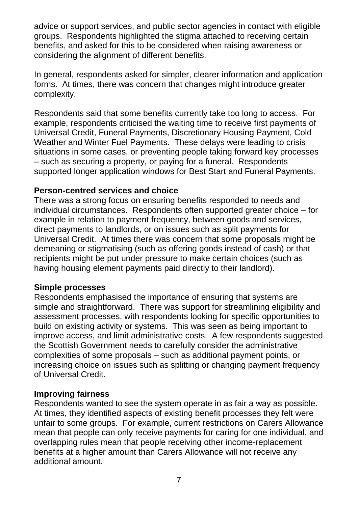advice or support services, and public sector agencies in contact with eligible groups. Respondents highlighted the stigma attached to receiving certain benefits, and asked for this to be considered when raising awareness or considering the alignment of different benefits.

In general, respondents asked for simpler, clearer information and application forms. At times, there was concern that changes might introduce greater complexity.

Respondents said that some benefits currently take too long to access. For example, respondents criticised the waiting time to receive first payments of Universal Credit, Funeral Payments, Discretionary Housing Payment, Cold Weather and Winter Fuel Payments. These delays were leading to crisis situations in some cases, or preventing people taking forward key processes – such as securing a property, or paying for a funeral. Respondents supported longer application windows for Best Start and Funeral Payments.

#### **Person-centred services and choice**

There was a strong focus on ensuring benefits responded to needs and individual circumstances. Respondents often supported greater choice – for example in relation to payment frequency, between goods and services, direct payments to landlords, or on issues such as split payments for Universal Credit. At times there was concern that some proposals might be demeaning or stigmatising (such as offering goods instead of cash) or that recipients might be put under pressure to make certain choices (such as having housing element payments paid directly to their landlord).

#### **Simple processes**

Respondents emphasised the importance of ensuring that systems are simple and straightforward. There was support for streamlining eligibility and assessment processes, with respondents looking for specific opportunities to build on existing activity or systems. This was seen as being important to improve access, and limit administrative costs. A few respondents suggested the Scottish Government needs to carefully consider the administrative complexities of some proposals – such as additional payment points, or increasing choice on issues such as splitting or changing payment frequency of Universal Credit.

#### **Improving fairness**

Respondents wanted to see the system operate in as fair a way as possible. At times, they identified aspects of existing benefit processes they felt were unfair to some groups. For example, current restrictions on Carers Allowance mean that people can only receive payments for caring for one individual, and overlapping rules mean that people receiving other income-replacement benefits at a higher amount than Carers Allowance will not receive any additional amount.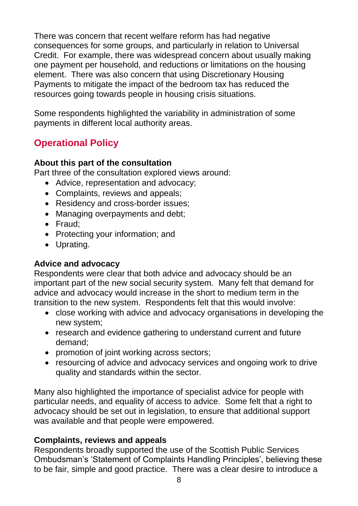There was concern that recent welfare reform has had negative consequences for some groups, and particularly in relation to Universal Credit. For example, there was widespread concern about usually making one payment per household, and reductions or limitations on the housing element. There was also concern that using Discretionary Housing Payments to mitigate the impact of the bedroom tax has reduced the resources going towards people in housing crisis situations.

Some respondents highlighted the variability in administration of some payments in different local authority areas.

## **Operational Policy**

#### **About this part of the consultation**

Part three of the consultation explored views around:

- Advice, representation and advocacy;
- Complaints, reviews and appeals;
- Residency and cross-border issues;
- Managing overpayments and debt;
- Fraud:
- Protecting your information; and
- Uprating.

#### **Advice and advocacy**

Respondents were clear that both advice and advocacy should be an important part of the new social security system. Many felt that demand for advice and advocacy would increase in the short to medium term in the transition to the new system. Respondents felt that this would involve:

- close working with advice and advocacy organisations in developing the new system;
- research and evidence gathering to understand current and future demand;
- promotion of joint working across sectors;
- resourcing of advice and advocacy services and ongoing work to drive quality and standards within the sector.

Many also highlighted the importance of specialist advice for people with particular needs, and equality of access to advice. Some felt that a right to advocacy should be set out in legislation, to ensure that additional support was available and that people were empowered.

#### **Complaints, reviews and appeals**

Respondents broadly supported the use of the Scottish Public Services Ombudsman's 'Statement of Complaints Handling Principles', believing these to be fair, simple and good practice. There was a clear desire to introduce a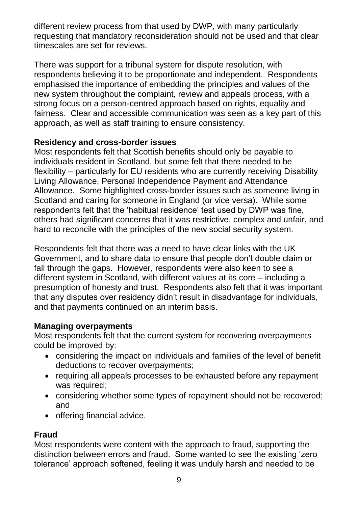different review process from that used by DWP, with many particularly requesting that mandatory reconsideration should not be used and that clear timescales are set for reviews.

There was support for a tribunal system for dispute resolution, with respondents believing it to be proportionate and independent. Respondents emphasised the importance of embedding the principles and values of the new system throughout the complaint, review and appeals process, with a strong focus on a person-centred approach based on rights, equality and fairness. Clear and accessible communication was seen as a key part of this approach, as well as staff training to ensure consistency.

#### **Residency and cross-border issues**

Most respondents felt that Scottish benefits should only be payable to individuals resident in Scotland, but some felt that there needed to be flexibility – particularly for EU residents who are currently receiving Disability Living Allowance, Personal Independence Payment and Attendance Allowance. Some highlighted cross-border issues such as someone living in Scotland and caring for someone in England (or vice versa). While some respondents felt that the 'habitual residence' test used by DWP was fine, others had significant concerns that it was restrictive, complex and unfair, and hard to reconcile with the principles of the new social security system.

Respondents felt that there was a need to have clear links with the UK Government, and to share data to ensure that people don't double claim or fall through the gaps. However, respondents were also keen to see a different system in Scotland, with different values at its core – including a presumption of honesty and trust. Respondents also felt that it was important that any disputes over residency didn't result in disadvantage for individuals, and that payments continued on an interim basis.

#### **Managing overpayments**

Most respondents felt that the current system for recovering overpayments could be improved by:

- considering the impact on individuals and families of the level of benefit deductions to recover overpayments;
- requiring all appeals processes to be exhausted before any repayment was required;
- considering whether some types of repayment should not be recovered; and
- offering financial advice.

#### **Fraud**

Most respondents were content with the approach to fraud, supporting the distinction between errors and fraud. Some wanted to see the existing 'zero tolerance' approach softened, feeling it was unduly harsh and needed to be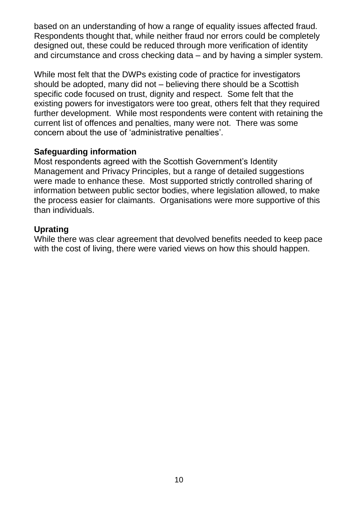based on an understanding of how a range of equality issues affected fraud. Respondents thought that, while neither fraud nor errors could be completely designed out, these could be reduced through more verification of identity and circumstance and cross checking data – and by having a simpler system.

While most felt that the DWPs existing code of practice for investigators should be adopted, many did not – believing there should be a Scottish specific code focused on trust, dignity and respect. Some felt that the existing powers for investigators were too great, others felt that they required further development. While most respondents were content with retaining the current list of offences and penalties, many were not. There was some concern about the use of 'administrative penalties'.

#### **Safeguarding information**

Most respondents agreed with the Scottish Government's Identity Management and Privacy Principles, but a range of detailed suggestions were made to enhance these. Most supported strictly controlled sharing of information between public sector bodies, where legislation allowed, to make the process easier for claimants. Organisations were more supportive of this than individuals.

#### **Uprating**

While there was clear agreement that devolved benefits needed to keep pace with the cost of living, there were varied views on how this should happen.